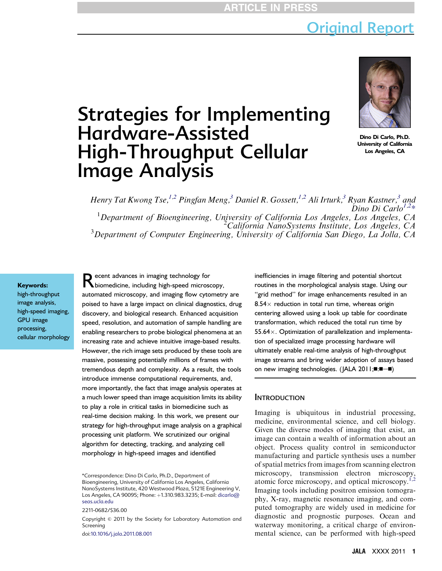#### **RTICLE IN PRESS**

## Original Report



Dino Di Carlo, Ph.D. University of California Los Angeles, CA

# Strategies for Implementing Hardware-Assisted High-Throughput Cellular Image Analysis

Henry Tat Kwong Tse,<sup>1,2</sup> Pingfan Meng,<sup>3</sup> Daniel R. Gossett,<sup>1,2</sup> Ali Irturk,<sup>3</sup> Ryan Kastner,<sup>3</sup> and Dino Di Carlo<sup>1,2\*</sup> <sup>1</sup>Department of Bioengineering, University of California Los Angeles, Los Angeles, CA<br><sup>2</sup>California Nano Systems Institute, Los Angeles, CA California NanoSystems Institute, Los Angeles, CA<sup>3</sup><br>Department of Computer Engineering, University of California San Diego, La Jolla, CA<sup>3</sup>

#### Keywords:

high-throughput image analysis, high-speed imaging, GPU image processing, cellular morphology

Recent advances in imaging technology for biomedicine, including high-speed microscopy, automated microscopy, and imaging flow cytometry are poised to have a large impact on clinical diagnostics, drug discovery, and biological research. Enhanced acquisition speed, resolution, and automation of sample handling are enabling researchers to probe biological phenomena at an increasing rate and achieve intuitive image-based results. However, the rich image sets produced by these tools are massive, possessing potentially millions of frames with tremendous depth and complexity. As a result, the tools introduce immense computational requirements, and, more importantly, the fact that image analysis operates at a much lower speed than image acquisition limits its ability to play a role in critical tasks in biomedicine such as real-time decision making. In this work, we present our strategy for high-throughput image analysis on a graphical processing unit platform. We scrutinized our original algorithm for detecting, tracking, and analyzing cell morphology in high-speed images and identified

2211-0682/\$36.00

Copyright © 2011 by the Society for Laboratory Automation and Screening

doi:[10.1016/j.jala.2011.08.001](http://dx.doi.org/10.1016/j.jala.2011.08.001)

inefficiencies in image filtering and potential shortcut routines in the morphological analysis stage. Using our ''grid method'' for image enhancements resulted in an  $8.54\times$  reduction in total run time, whereas origin centering allowed using a look up table for coordinate transformation, which reduced the total run time by 55.64 $\times$ . Optimization of parallelization and implementation of specialized image processing hardware will ultimately enable real-time analysis of high-throughput image streams and bring wider adoption of assays based on new imaging technologies. (JALA 2011;":-

#### INTRODUCTION

Imaging is ubiquitous in industrial processing, medicine, environmental science, and cell biology. Given the diverse modes of imaging that exist, an image can contain a wealth of information about an object. Process quality control in semiconductor manufacturing and particle synthesis uses a number of spatial metrics from images from scanning electron microscopy, transmission electron microscopy, atomic force microscopy, and optical microscopy.<sup>[1,2](#page-7-0)</sup> Imaging tools including positron emission tomography, X-ray, magnetic resonance imaging, and computed tomography are widely used in medicine for diagnostic and prognostic purposes. Ocean and waterway monitoring, a critical charge of environmental science, can be performed with high-speed

<sup>\*</sup>Correspondence: Dino Di Carlo, Ph.D., Department of Bioengineering, University of California Los Angeles, California NanoSystems Institute, 420 Westwood Plaza, 5121E Engineering V, Los Angeles, CA 90095; Phone: +1.310.983.3235; E-mail: [dicarlo@](mailto:dicarlo@seas.ucla.edu) [seas.ucla.edu](mailto:dicarlo@seas.ucla.edu)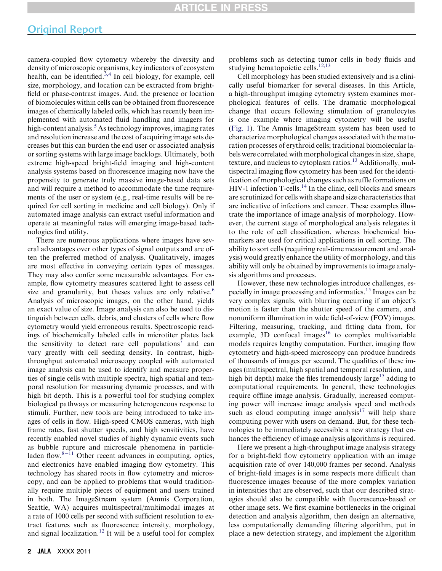camera-coupled flow cytometry whereby the diversity and density of microscopic organisms, key indicators of ecosystem health, can be identified.<sup>[3,4](#page-7-0)</sup> In cell biology, for example, cell size, morphology, and location can be extracted from brightfield or phase-contrast images. And, the presence or location of biomolecules within cells can be obtained from fluorescence images of chemically labeled cells, which has recently been implemented with automated fluid handling and imagers for high-content analysis.<sup>[5](#page-7-0)</sup> As technology improves, imaging rates and resolution increase and the cost of acquiring image sets decreases but this can burden the end user or associated analysis or sorting systems with large image backlogs. Ultimately, both extreme high-speed bright-field imaging and high-content analysis systems based on fluorescence imaging now have the propensity to generate truly massive image-based data sets and will require a method to accommodate the time requirements of the user or system (e.g., real-time results will be required for cell sorting in medicine and cell biology). Only if automated image analysis can extract useful information and operate at meaningful rates will emerging image-based technologies find utility.

There are numerous applications where images have several advantages over other types of signal outputs and are often the preferred method of analysis. Qualitatively, images are most effective in conveying certain types of messages. They may also confer some measurable advantages. For example, flow cytometry measures scattered light to assess cell size and granularity, but theses values are only relative.<sup>[6](#page-7-0)</sup> Analysis of microscopic images, on the other hand, yields an exact value of size. Image analysis can also be used to distinguish between cells, debris, and clusters of cells where flow cytometry would yield erroneous results. Spectroscopic readings of biochemically labeled cells in microtiter plates lack the sensitivity to detect rare cell populations<sup>[7](#page-7-0)</sup> and can vary greatly with cell seeding density. In contrast, highthroughput automated microscopy coupled with automated image analysis can be used to identify and measure properties of single cells with multiple spectra, high spatial and temporal resolution for measuring dynamic processes, and with high bit depth. This is a powerful tool for studying complex biological pathways or measuring heterogeneous response to stimuli. Further, new tools are being introduced to take images of cells in flow. High-speed CMOS cameras, with high frame rates, fast shutter speeds, and high sensitivities, have recently enabled novel studies of highly dynamic events such as bubble rupture and microscale phenomena in particleladen flow. $8-11$  $8-11$  Other recent advances in computing, optics, and electronics have enabled imaging flow cytometry. This technology has shared roots in flow cytometry and microscopy, and can be applied to problems that would traditionally require multiple pieces of equipment and users trained in both. The ImageStream system (Amnis Corporation, Seattle, WA) acquires multispectral/multimodal images at a rate of 1000 cells per second with sufficient resolution to extract features such as fluorescence intensity, morphology, and signal localization.<sup>[12](#page-7-0)</sup> It will be a useful tool for complex

problems such as detecting tumor cells in body fluids and studying hematopoietic cells. $12,13$ 

Cell morphology has been studied extensively and is a clinically useful biomarker for several diseases. In this Article, a high-throughput imaging cytometry system examines morphological features of cells. The dramatic morphological change that occurs following stimulation of granulocytes is one example where imaging cytometry will be useful [\(Fig. 1](#page-2-0)). The Amnis ImageStream system has been used to characterize morphological changes associated with the maturation processes of erythroid cells; traditional biomolecular labels were correlated with morphological changes in size, shape, texture, and nucleus to cytoplasm ratios.<sup>[13](#page-7-0)</sup> Additionally, multispectral imaging flow cytometry has been used for the identification of morphological changes such as ruffle formations on  $HIV-1$  infection T-cells.<sup>[14](#page-7-0)</sup> In the clinic, cell blocks and smears are scrutinized for cells with shape and size characteristics that are indicative of infections and cancer. These examples illustrate the importance of image analysis of morphology. However, the current stage of morphological analysis relegates it to the role of cell classification, whereas biochemical biomarkers are used for critical applications in cell sorting. The ability to sort cells (requiring real-time measurement and analysis) would greatly enhance the utility of morphology, and this ability will only be obtained by improvements to image analysis algorithms and processes.

However, these new technologies introduce challenges, especially in image processing and informatics.[15](#page-7-0) Images can be very complex signals, with blurring occurring if an object's motion is faster than the shutter speed of the camera, and nonuniform illumination in wide field-of-view (FOV) images. Filtering, measuring, tracking, and fitting data from, for example, 3D confocal images<sup>[16](#page-8-0)</sup> to complex multivariable models requires lengthy computation. Further, imaging flow cytometry and high-speed microscopy can produce hundreds of thousands of images per second. The qualities of these images (multispectral, high spatial and temporal resolution, and high bit depth) make the files tremendously large<sup>[15](#page-7-0)</sup> adding to computational requirements. In general, these technologies require offline image analysis. Gradually, increased computing power will increase image analysis speed and methods such as cloud computing image analysis $17$  will help share computing power with users on demand. But, for these technologies to be immediately accessible a new strategy that enhances the efficiency of image analysis algorithms is required.

Here we present a high-throughput image analysis strategy for a bright-field flow cytometry application with an image acquisition rate of over 140,000 frames per second. Analysis of bright-field images is in some respects more difficult than fluorescence images because of the more complex variation in intensities that are observed, such that our described strategies should also be compatible with fluorescence-based or other image sets. We first examine bottlenecks in the original detection and analysis algorithm, then design an alternative, less computationally demanding filtering algorithm, put in place a new detection strategy, and implement the algorithm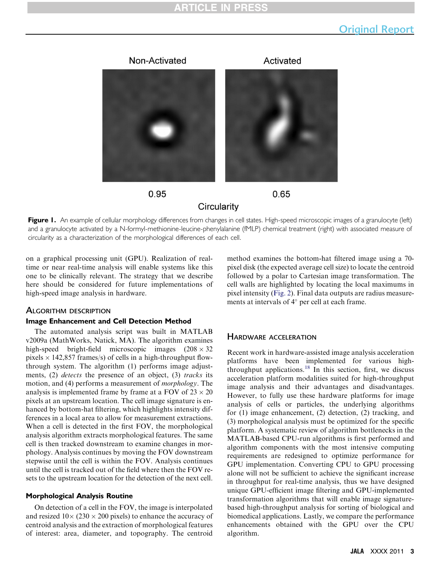<span id="page-2-0"></span>

## Circularity

Figure 1. An example of cellular morphology differences from changes in cell states. High-speed microscopic images of a granulocyte (left) and a granulocyte activated by a N-formyl-methionine-leucine-phenylalanine (fMLP) chemical treatment (right) with associated measure of circularity as a characterization of the morphological differences of each cell.

on a graphical processing unit (GPU). Realization of realtime or near real-time analysis will enable systems like this one to be clinically relevant. The strategy that we describe here should be considered for future implementations of high-speed image analysis in hardware.

#### ALGORITHM DESCRIPTION

#### Image Enhancement and Cell Detection Method

The automated analysis script was built in MATLAB v2009a (MathWorks, Natick, MA). The algorithm examines high-speed bright-field microscopic images  $(208 \times 32)$ pixels  $\times$  142,857 frames/s) of cells in a high-throughput flowthrough system. The algorithm (1) performs image adjustments, (2) *detects* the presence of an object, (3) *tracks* its motion, and (4) performs a measurement of *morphology*. The analysis is implemented frame by frame at a FOV of  $23 \times 20$ pixels at an upstream location. The cell image signature is enhanced by bottom-hat filtering, which highlights intensity differences in a local area to allow for measurement extractions. When a cell is detected in the first FOV, the morphological analysis algorithm extracts morphological features. The same cell is then tracked downstream to examine changes in morphology. Analysis continues by moving the FOV downstream stepwise until the cell is within the FOV. Analysis continues until the cell is tracked out of the field where then the FOV resets to the upstream location for the detection of the next cell.

#### Morphological Analysis Routine

On detection of a cell in the FOV, the image is interpolated and resized  $10 \times (230 \times 200)$  pixels) to enhance the accuracy of centroid analysis and the extraction of morphological features of interest: area, diameter, and topography. The centroid method examines the bottom-hat filtered image using a 70 pixel disk (the expected average cell size) to locate the centroid followed by a polar to Cartesian image transformation. The cell walls are highlighted by locating the local maximums in pixel intensity ([Fig. 2](#page-3-0)). Final data outputs are radius measurements at intervals of  $4^\circ$  per cell at each frame.

#### HARDWARE ACCELERATION

Recent work in hardware-assisted image analysis acceleration platforms have been implemented for various high-throughput applications.<sup>[18](#page-8-0)</sup> In this section, first, we discuss acceleration platform modalities suited for high-throughput image analysis and their advantages and disadvantages. However, to fully use these hardware platforms for image analysis of cells or particles, the underlying algorithms for (1) image enhancement, (2) detection, (2) tracking, and (3) morphological analysis must be optimized for the specific platform. A systematic review of algorithm bottlenecks in the MATLAB-based CPU-run algorithms is first performed and algorithm components with the most intensive computing requirements are redesigned to optimize performance for GPU implementation. Converting CPU to GPU processing alone will not be sufficient to achieve the significant increase in throughput for real-time analysis, thus we have designed unique GPU-efficient image filtering and GPU-implemented transformation algorithms that will enable image signaturebased high-throughput analysis for sorting of biological and biomedical applications. Lastly, we compare the performance enhancements obtained with the GPU over the CPU algorithm.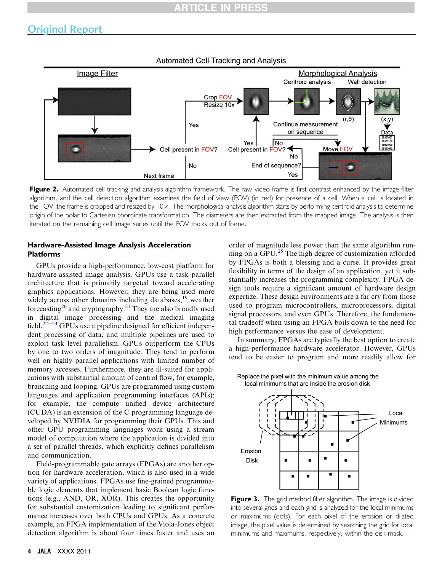<span id="page-3-0"></span>

Figure 2. Automated cell tracking and analysis algorithm framework. The raw video frame is first contrast enhanced by the image filter algorithm, and the cell detection algorithm examines the field of view (FOV) (in red) for presence of a cell. When a cell is located in the FOV, the frame is cropped and resized by  $10 \times$ . The morphological analysis algorithm starts by performing centroid analysis to determine origin of the polar to Cartesian coordinate transformation. The diameters are then extracted from the mapped image. The analysis is then iterated on the remaining cell image series until the FOV tracks out of frame.

#### Hardware-Assisted Image Analysis Acceleration Platforms

GPUs provide a high-performance, low-cost platform for hardware-assisted image analysis. GPUs use a task parallel architecture that is primarily targeted toward accelerating graphics applications. However, they are being used more widely across other domains including databases,<sup>[19](#page-8-0)</sup> weather forecasting[20](#page-8-0) and cryptography.[21](#page-8-0) They are also broadly used in digital image processing and the medical imaging field.<sup>22–[24](#page-8-0)</sup> GPUs use a pipeline designed for efficient independent processing of data, and multiple pipelines are used to exploit task level parallelism. GPUs outperform the CPUs by one to two orders of magnitude. They tend to perform well on highly parallel applications with limited number of memory accesses. Furthermore, they are ill-suited for applications with substantial amount of control flow, for example, branching and looping. GPUs are programmed using custom languages and application programming interfaces (APIs); for example, the compute unified device architecture (CUDA) is an extension of the C programming language developed by NVIDIA for programming their GPUs. This and other GPU programming languages work using a stream model of computation where the application is divided into a set of parallel threads, which explicitly defines parallelism and communication.

Field-programmable gate arrays (FPGAs) are another option for hardware acceleration, which is also used in a wide variety of applications. FPGAs use fine-grained programmable logic elements that implement basic Boolean logic functions (e.g., AND, OR, XOR). This creates the opportunity for substantial customization leading to significant performance increases over both CPUs and GPUs. As a concrete example, an FPGA implementation of the Viola-Jones object detection algorithm is about four times faster and uses an

order of magnitude less power than the same algorithm run-ning on a GPU.<sup>[25](#page-8-0)</sup> The high degree of customization afforded by FPGAs is both a blessing and a curse. It provides great flexibility in terms of the design of an application, yet it substantially increases the programming complexity. FPGA design tools require a significant amount of hardware design expertize. These design environments are a far cry from those used to program microcontrollers, microprocessors, digital signal processors, and even GPUs. Therefore, the fundamental tradeoff when using an FPGA boils down to the need for high performance versus the ease of development.

In summary, FPGAs are typically the best option to create a high-performance hardware accelerator. However, GPUs tend to be easier to program and more readily allow for



Figure 3. The grid method filter algorithm. The image is divided into several grids and each grid is analyzed for the local minimums or maximums (dots). For each pixel of the erosion or dilated image, the pixel value is determined by searching the grid for local minimums and maximums, respectively, within the disk mask.

#### Replace the pixel with the minimum value among the local minimums that are inside the erosion disk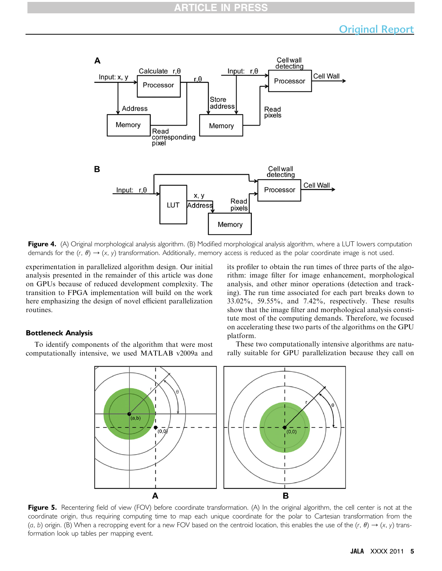<span id="page-4-0"></span>

Figure 4. (A) Original morphological analysis algorithm. (B) Modified morphological analysis algorithm, where a LUT lowers computation demands for the  $(r, \theta) \rightarrow (x, y)$  transformation. Additionally, memory access is reduced as the polar coordinate image is not used.

experimentation in parallelized algorithm design. Our initial analysis presented in the remainder of this article was done on GPUs because of reduced development complexity. The transition to FPGA implementation will build on the work here emphasizing the design of novel efficient parallelization routines.

#### Bottleneck Analysis

To identify components of the algorithm that were most computationally intensive, we used MATLAB v2009a and its profiler to obtain the run times of three parts of the algorithm: image filter for image enhancement, morphological analysis, and other minor operations (detection and tracking). The run time associated for each part breaks down to 33.02%, 59.55%, and 7.42%, respectively. These results show that the image filter and morphological analysis constitute most of the computing demands. Therefore, we focused on accelerating these two parts of the algorithms on the GPU platform.

These two computationally intensive algorithms are naturally suitable for GPU parallelization because they call on



Figure 5. Recentering field of view (FOV) before coordinate transformation. (A) In the original algorithm, the cell center is not at the coordinate origin, thus requiring computing time to map each unique coordinate for the polar to Cartesian transformation from the (a, b) origin. (B) When a recropping event for a new FOV based on the centroid location, this enables the use of the  $(r, \theta) \rightarrow (x, y)$  transformation look up tables per mapping event.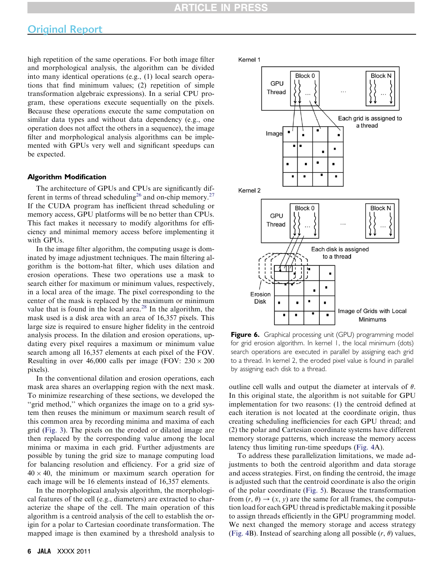<span id="page-5-0"></span>high repetition of the same operations. For both image filter and morphological analysis, the algorithm can be divided into many identical operations (e.g., (1) local search operations that find minimum values; (2) repetition of simple transformation algebraic expressions). In a serial CPU program, these operations execute sequentially on the pixels. Because these operations execute the same computation on similar data types and without data dependency (e.g., one operation does not affect the others in a sequence), the image filter and morphological analysis algorithms can be implemented with GPUs very well and significant speedups can be expected.

#### Algorithm Modification

The architecture of GPUs and CPUs are significantly dif-ferent in terms of thread scheduling<sup>[26](#page-8-0)</sup> and on-chip memory.<sup>[27](#page-8-0)</sup> If the CUDA program has inefficient thread scheduling or memory access, GPU platforms will be no better than CPUs. This fact makes it necessary to modify algorithms for efficiency and minimal memory access before implementing it with GPUs.

In the image filter algorithm, the computing usage is dominated by image adjustment techniques. The main filtering algorithm is the bottom-hat filter, which uses dilation and erosion operations. These two operations use a mask to search either for maximum or minimum values, respectively, in a local area of the image. The pixel corresponding to the center of the mask is replaced by the maximum or minimum value that is found in the local area.<sup>[28](#page-8-0)</sup> In the algorithm, the mask used is a disk area with an area of 16,357 pixels. This large size is required to ensure higher fidelity in the centroid analysis process. In the dilation and erosion operations, updating every pixel requires a maximum or minimum value search among all 16,357 elements at each pixel of the FOV. Resulting in over 46,000 calls per image (FOV:  $230 \times 200$ pixels).

In the conventional dilation and erosion operations, each mask area shares an overlapping region with the next mask. To minimize researching of these sections, we developed the "grid method," which organizes the image on to a grid system then reuses the minimum or maximum search result of this common area by recording minima and maxima of each grid [\(Fig. 3\)](#page-3-0). The pixels on the eroded or dilated image are then replaced by the corresponding value among the local minima or maxima in each grid. Further adjustments are possible by tuning the grid size to manage computing load for balancing resolution and efficiency. For a grid size of  $40 \times 40$ , the minimum or maximum search operation for each image will be 16 elements instead of 16,357 elements.

In the morphological analysis algorithm, the morphological features of the cell (e.g., diameters) are extracted to characterize the shape of the cell. The main operation of this algorithm is a centroid analysis of the cell to establish the origin for a polar to Cartesian coordinate transformation. The mapped image is then examined by a threshold analysis to



**Figure 6.** Graphical processing unit (GPU) programming model for grid erosion algorithm. In kernel 1, the local minimum (dots) search operations are executed in parallel by assigning each grid to a thread. In kernel 2, the eroded pixel value is found in parallel by assigning each disk to a thread.

outline cell walls and output the diameter at intervals of  $\theta$ . In this original state, the algorithm is not suitable for GPU implementation for two reasons: (1) the centroid defined at each iteration is not located at the coordinate origin, thus creating scheduling inefficiencies for each GPU thread; and (2) the polar and Cartesian coordinate systems have different memory storage patterns, which increase the memory access latency thus limiting run-time speedups ([Fig. 4A](#page-4-0)).

To address these parallelization limitations, we made adjustments to both the centroid algorithm and data storage and access strategies. First, on finding the centroid, the image is adjusted such that the centroid coordinate is also the origin of the polar coordinate [\(Fig. 5\)](#page-4-0). Because the transformation from  $(r, \theta) \rightarrow (x, y)$  are the same for all frames, the computation load for each GPU thread is predictable making it possible to assign threads efficiently in the GPU programming model. We next changed the memory storage and access strategy [\(Fig. 4](#page-4-0)B). Instead of searching along all possible  $(r, \theta)$  values,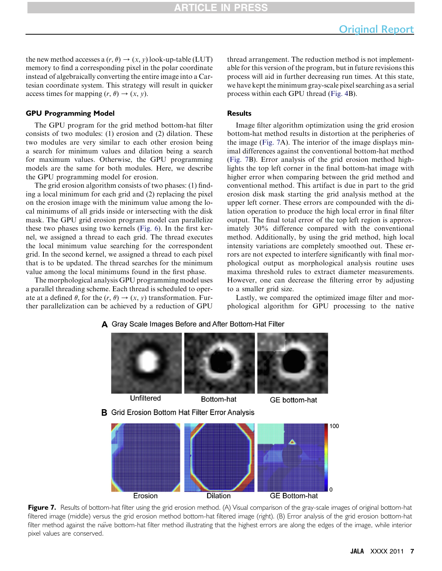the new method accesses a  $(r, \theta) \rightarrow (x, y)$  look-up-table (LUT) memory to find a corresponding pixel in the polar coordinate instead of algebraically converting the entire image into a Cartesian coordinate system. This strategy will result in quicker access times for mapping  $(r, \theta) \rightarrow (x, y)$ .

#### GPU Programming Model

The GPU program for the grid method bottom-hat filter consists of two modules: (1) erosion and (2) dilation. These two modules are very similar to each other erosion being a search for minimum values and dilation being a search for maximum values. Otherwise, the GPU programming models are the same for both modules. Here, we describe the GPU programming model for erosion.

The grid erosion algorithm consists of two phases: (1) finding a local minimum for each grid and (2) replacing the pixel on the erosion image with the minimum value among the local minimums of all grids inside or intersecting with the disk mask. The GPU grid erosion program model can parallelize these two phases using two kernels ([Fig. 6](#page-5-0)). In the first kernel, we assigned a thread to each grid. The thread executes the local minimum value searching for the correspondent grid. In the second kernel, we assigned a thread to each pixel that is to be updated. The thread searches for the minimum value among the local minimums found in the first phase.

The morphological analysis GPU programming model uses a parallel threading scheme. Each thread is scheduled to operate at a defined  $\theta$ , for the  $(r, \theta) \rightarrow (x, y)$  transformation. Further parallelization can be achieved by a reduction of GPU

thread arrangement. The reduction method is not implementable for this version of the program, but in future revisions this process will aid in further decreasing run times. At this state, we have kept the minimum gray-scale pixel searching as a serial process within each GPU thread [\(Fig. 4B](#page-4-0)).

#### Results

Image filter algorithm optimization using the grid erosion bottom-hat method results in distortion at the peripheries of the image (Fig. 7A). The interior of the image displays minimal differences against the conventional bottom-hat method (Fig. 7B). Error analysis of the grid erosion method highlights the top left corner in the final bottom-hat image with higher error when comparing between the grid method and conventional method. This artifact is due in part to the grid erosion disk mask starting the grid analysis method at the upper left corner. These errors are compounded with the dilation operation to produce the high local error in final filter output. The final total error of the top left region is approximately 30% difference compared with the conventional method. Additionally, by using the grid method, high local intensity variations are completely smoothed out. These errors are not expected to interfere significantly with final morphological output as morphological analysis routine uses maxima threshold rules to extract diameter measurements. However, one can decrease the filtering error by adjusting to a smaller grid size.

Lastly, we compared the optimized image filter and morphological algorithm for GPU processing to the native

A Gray Scale Images Before and After Bottom-Hat Filter



Figure 7. Results of bottom-hat filter using the grid erosion method. (A) Visual comparison of the gray-scale images of original bottom-hat filtered image (middle) versus the grid erosion method bottom-hat filtered image (right). (B) Error analysis of the grid erosion bottom-hat filter method against the naïve bottom-hat filter method illustrating that the highest errors are along the edges of the image, while interior pixel values are conserved.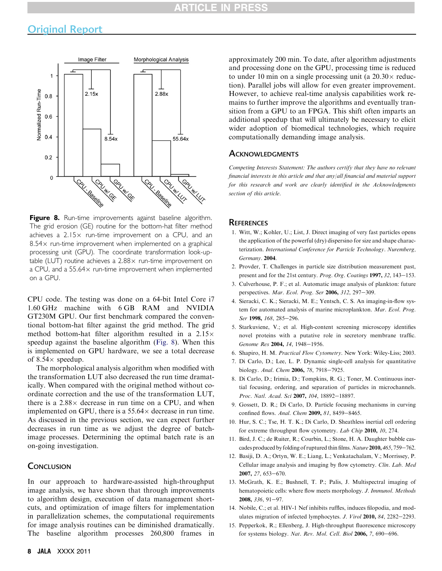<span id="page-7-0"></span>

Figure 8. Run-time improvements against baseline algorithm. The grid erosion (GE) routine for the bottom-hat filter method achieves a  $2.15\times$  run-time improvement on a CPU, and an  $8.54\times$  run-time improvement when implemented on a graphical processing unit (GPU). The coordinate transformation look-uptable (LUT) routine achieves a  $2.88 \times$  run-time improvement on a CPU, and a  $55.64 \times$  run-time improvement when implemented on a GPU.

CPU code. The testing was done on a 64-bit Intel Core i7 1.60 GHz machine with 6 GB RAM and NVIDIA GT230M GPU. Our first benchmark compared the conventional bottom-hat filter against the grid method. The grid method bottom-hat filter algorithm resulted in a  $2.15\times$ speedup against the baseline algorithm (Fig. 8). When this is implemented on GPU hardware, we see a total decrease of  $8.54 \times$  speedup.

The morphological analysis algorithm when modified with the transformation LUT also decreased the run time dramatically. When compared with the original method without coordinate correction and the use of the transformation LUT, there is a  $2.88 \times$  decrease in run time on a CPU, and when implemented on GPU, there is a  $55.64 \times$  decrease in run time. As discussed in the previous section, we can expect further decreases in run time as we adjust the degree of batchimage processes. Determining the optimal batch rate is an on-going investigation.

#### **CONCLUSION**

In our approach to hardware-assisted high-throughput image analysis, we have shown that through improvements to algorithm design, execution of data management shortcuts, and optimization of image filters for implementation in parallelization schemes, the computational requirements for image analysis routines can be diminished dramatically. The baseline algorithm processes 260,800 frames in

approximately 200 min. To date, after algorithm adjustments and processing done on the GPU, processing time is reduced to under 10 min on a single processing unit (a  $20.30 \times$  reduction). Parallel jobs will allow for even greater improvement. However, to achieve real-time analysis capabilities work remains to further improve the algorithms and eventually transition from a GPU to an FPGA. This shift often imparts an additional speedup that will ultimately be necessary to elicit wider adoption of biomedical technologies, which require computationally demanding image analysis.

#### **ACKNOWLEDGMENTS**

Competing Interests Statement: The authors certify that they have no relevant financial interests in this article and that any/all financial and material support for this research and work are clearly identified in the Acknowledgments section of this article.

#### **REFERENCES**

- 1. Witt, W.; Kohler, U.; List, J. Direct imaging of very fast particles opens the application of the powerful (dry) dispersino for size and shape characterization. International Conference for Particle Technology. Nuremberg, Germany. 2004.
- 2. Provder, T. Challenges in particle size distribution measurement past, present and for the 21st century. Prog. Org. Coatings 1997, 32, 143-153.
- 3. Culverhouse, P. F.; et al. Automatic image analysis of plankton: future perspectives. Mar. Ecol. Prog. Ser 2006, 312, 297-309.
- 4. Sieracki, C. K.; Sieracki, M. E.; Yentsch, C. S. An imaging-in-flow system for automated analysis of marine microplankton. Mar. Ecol. Prog. Ser 1998, 168, 285-296.
- 5. Starkuviene, V.; et al. High-content screening microscopy identifies novel proteins with a putative role in secretory membrane traffic. Genome Res 2004, 14, 1948-1956.
- 6. Shapiro, H. M. Practical Flow Cytometry. New York: Wiley-Liss; 2003.
- 7. Di Carlo, D.; Lee, L. P. Dynamic single-cell analysis for quantitative biology. Anal. Chem 2006, 78, 7918-7925.
- 8. Di Carlo, D.; Irimia, D.; Tompkins, R. G.; Toner, M. Continuous inertial focusing, ordering, and separation of particles in microchannels. Proc. Natl. Acad. Sci 2007, 104, 18892-18897.
- 9. Gossett, D. R.; Di Carlo, D. Particle focusing mechanisms in curving confined flows. Anal. Chem 2009, 81, 8459-8465.
- 10. Hur, S. C.; Tse, H. T. K.; Di Carlo, D. Sheathless inertial cell ordering for extreme throughput flow cytometry. Lab Chip 2010, 10, 274.
- 11. Bird, J. C.; de Ruiter, R.; Courbin, L.; Stone, H. A. Daughter bubble cascades produced by folding of ruptured thin films. Nature 2010, 465, 759-762.
- 12. Basiji, D. A.; Ortyn, W. E.; Liang, L.; Venkatachalam, V.; Morrissey, P. Cellular image analysis and imaging by flow cytometry. Clin. Lab. Med  $2007, 27, 653 - 670.$
- 13. McGrath, K. E.; Bushnell, T. P.; Palis, J. Multispectral imaging of hematopoietic cells: where flow meets morphology. J. Immunol. Methods 2008,  $336, 91 - 97$ .
- 14. Nobile, C.; et al. HIV-1 Nef inhibits ruffles, induces filopodia, and modulates migration of infected lymphocytes. J. Virol 2010, 84, 2282-2293.
- 15. Pepperkok, R.; Ellenberg, J. High-throughput fluorescence microscopy for systems biology. Nat. Rev. Mol. Cell. Biol 2006, 7, 690-696.